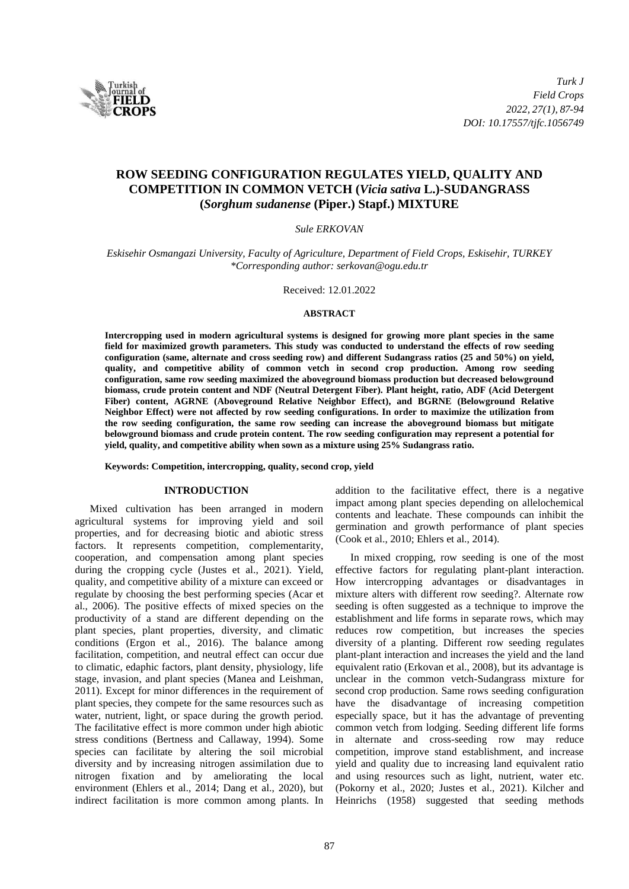

# **ROW SEEDING CONFIGURATION REGULATES YIELD, QUALITY AND COMPETITION IN COMMON VETCH (***Vicia sativa* **L.)-SUDANGRASS (***Sorghum sudanense* **(Piper.) Stapf.) MIXTURE**

## *Sule ERKOVAN*

*Eskisehir Osmangazi University, Faculty of Agriculture, Department of Field Crops, Eskisehir, TURKEY \*Corresponding author: serkovan@ogu.edu.tr*

#### Received: 12.01.2022

### **ABSTRACT**

**Intercropping used in modern agricultural systems is designed for growing more plant species in the same field for maximized growth parameters. This study was conducted to understand the effects of row seeding configuration (same, alternate and cross seeding row) and different Sudangrass ratios (25 and 50%) on yield, quality, and competitive ability of common vetch in second crop production. Among row seeding configuration, same row seeding maximized the aboveground biomass production but decreased belowground biomass, crude protein content and NDF (Neutral Detergent Fiber). Plant height, ratio, ADF (Acid Detergent Fiber) content, AGRNE (Aboveground Relative Neighbor Effect), and BGRNE (Belowground Relative Neighbor Effect) were not affected by row seeding configurations. In order to maximize the utilization from the row seeding configuration, the same row seeding can increase the aboveground biomass but mitigate belowground biomass and crude protein content. The row seeding configuration may represent a potential for yield, quality, and competitive ability when sown as a mixture using 25% Sudangrass ratio.**

**Keywords: Competition, intercropping, quality, second crop, yield**

## **INTRODUCTION**

Mixed cultivation has been arranged in modern agricultural systems for improving yield and soil properties, and for decreasing biotic and abiotic stress factors. It represents competition, complementarity, cooperation, and compensation among plant species during the cropping cycle (Justes et al., 2021). Yield, quality, and competitive ability of a mixture can exceed or regulate by choosing the best performing species (Acar et al., 2006). The positive effects of mixed species on the productivity of a stand are different depending on the plant species, plant properties, diversity, and climatic conditions (Ergon et al., 2016). The balance among facilitation, competition, and neutral effect can occur due to climatic, edaphic factors, plant density, physiology, life stage, invasion, and plant species (Manea and Leishman, 2011). Except for minor differences in the requirement of plant species, they compete for the same resources such as water, nutrient, light, or space during the growth period. The facilitative effect is more common under high abiotic stress conditions (Bertness and Callaway, 1994). Some species can facilitate by altering the soil microbial diversity and by increasing nitrogen assimilation due to nitrogen fixation and by ameliorating the local environment (Ehlers et al., 2014; Dang et al., 2020), but indirect facilitation is more common among plants. In

addition to the facilitative effect, there is a negative impact among plant species depending on allelochemical contents and leachate. These compounds can inhibit the germination and growth performance of plant species (Cook et al., 2010; Ehlers et al., 2014).

In mixed cropping, row seeding is one of the most effective factors for regulating plant-plant interaction. How intercropping advantages or disadvantages in mixture alters with different row seeding?. Alternate row seeding is often suggested as a technique to improve the establishment and life forms in separate rows, which may reduces row competition, but increases the species diversity of a planting. Different row seeding regulates plant-plant interaction and increases the yield and the land equivalent ratio (Erkovan et al., 2008), but its advantage is unclear in the common vetch-Sudangrass mixture for second crop production. Same rows seeding configuration have the disadvantage of increasing competition especially space, but it has the advantage of preventing common vetch from lodging. Seeding different life forms in alternate and cross-seeding row may reduce competition, improve stand establishment, and increase yield and quality due to increasing land equivalent ratio and using resources such as light, nutrient, water etc. (Pokorny et al., 2020; Justes et al., 2021). Kilcher and Heinrichs (1958) suggested that seeding methods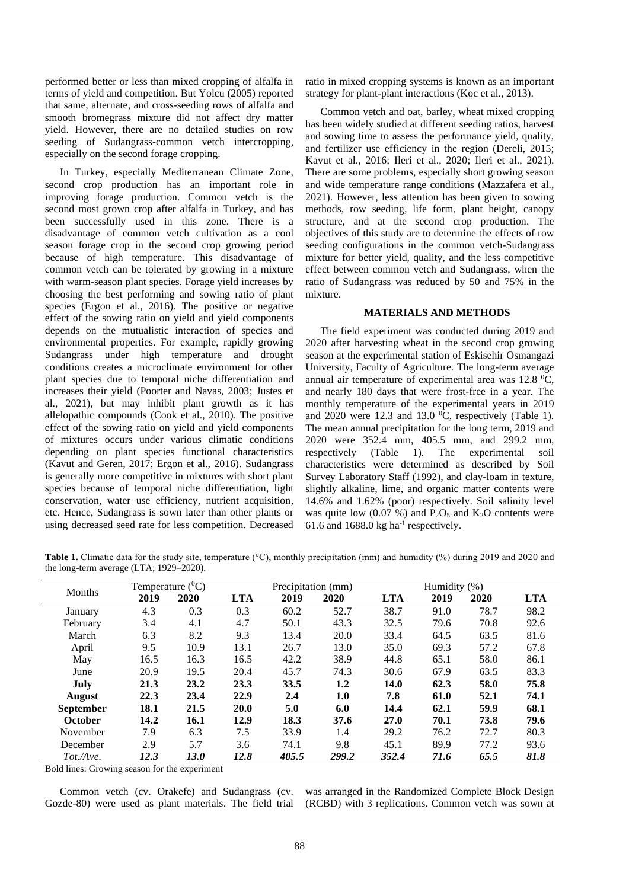performed better or less than mixed cropping of alfalfa in terms of yield and competition. But Yolcu (2005) reported that same, alternate, and cross-seeding rows of alfalfa and smooth bromegrass mixture did not affect dry matter yield. However, there are no detailed studies on row seeding of Sudangrass-common vetch intercropping, especially on the second forage cropping.

In Turkey, especially Mediterranean Climate Zone, second crop production has an important role in improving forage production. Common vetch is the second most grown crop after alfalfa in Turkey, and has been successfully used in this zone. There is a disadvantage of common vetch cultivation as a cool season forage crop in the second crop growing period because of high temperature. This disadvantage of common vetch can be tolerated by growing in a mixture with warm-season plant species. Forage yield increases by choosing the best performing and sowing ratio of plant species (Ergon et al., 2016). The positive or negative effect of the sowing ratio on yield and yield components depends on the mutualistic interaction of species and environmental properties. For example, rapidly growing Sudangrass under high temperature and drought conditions creates a microclimate environment for other plant species due to temporal niche differentiation and increases their yield (Poorter and Navas, 2003; Justes et al., 2021), but may inhibit plant growth as it has allelopathic compounds (Cook et al., 2010). The positive effect of the sowing ratio on yield and yield components of mixtures occurs under various climatic conditions depending on plant species functional characteristics (Kavut and Geren, 2017; Ergon et al., 2016). Sudangrass is generally more competitive in mixtures with short plant species because of temporal niche differentiation, light conservation, water use efficiency, nutrient acquisition, etc. Hence, Sudangrass is sown later than other plants or using decreased seed rate for less competition. Decreased

ratio in mixed cropping systems is known as an important strategy for plant-plant interactions (Koc et al., 2013).

Common vetch and oat, barley, wheat mixed cropping has been widely studied at different seeding ratios, harvest and sowing time to assess the performance yield, quality, and fertilizer use efficiency in the region (Dereli, 2015; Kavut et al., 2016; Ileri et al., 2020; Ileri et al., 2021). There are some problems, especially short growing season and wide temperature range conditions (Mazzafera et al., 2021). However, less attention has been given to sowing methods, row seeding, life form, plant height, canopy structure, and at the second crop production. The objectives of this study are to determine the effects of row seeding configurations in the common vetch-Sudangrass mixture for better yield, quality, and the less competitive effect between common vetch and Sudangrass, when the ratio of Sudangrass was reduced by 50 and 75% in the mixture.

## **MATERIALS AND METHODS**

The field experiment was conducted during 2019 and 2020 after harvesting wheat in the second crop growing season at the experimental station of Eskisehir Osmangazi University, Faculty of Agriculture. The long-term average annual air temperature of experimental area was  $12.8 \text{ °C}$ , and nearly 180 days that were frost-free in a year. The monthly temperature of the experimental years in 2019 and 2020 were 12.3 and 13.0  $^0$ C, respectively (Table 1). The mean annual precipitation for the long term, 2019 and 2020 were 352.4 mm, 405.5 mm, and 299.2 mm, respectively (Table 1). The experimental soil characteristics were determined as described by Soil Survey Laboratory Staff (1992), and clay-loam in texture, slightly alkaline, lime, and organic matter contents were 14.6% and 1.62% (poor) respectively. Soil salinity level was quite low  $(0.07 \%)$  and  $P_2O_5$  and  $K_2O$  contents were 61.6 and  $1688.0$  kg ha<sup>-1</sup> respectively.

**Table 1.** Climatic data for the study site, temperature (°C), monthly precipitation (mm) and humidity (%) during 2019 and 2020 and the long-term average (LTA; 1929–2020).

| <b>Months</b>    | Temperature $(^0C)$ |      | Precipitation (mm) |       |       | Humidity $(\% )$ |      |      |            |
|------------------|---------------------|------|--------------------|-------|-------|------------------|------|------|------------|
|                  | 2019                | 2020 | <b>LTA</b>         | 2019  | 2020  | <b>LTA</b>       | 2019 | 2020 | <b>LTA</b> |
| January          | 4.3                 | 0.3  | 0.3                | 60.2  | 52.7  | 38.7             | 91.0 | 78.7 | 98.2       |
| February         | 3.4                 | 4.1  | 4.7                | 50.1  | 43.3  | 32.5             | 79.6 | 70.8 | 92.6       |
| March            | 6.3                 | 8.2  | 9.3                | 13.4  | 20.0  | 33.4             | 64.5 | 63.5 | 81.6       |
| April            | 9.5                 | 10.9 | 13.1               | 26.7  | 13.0  | 35.0             | 69.3 | 57.2 | 67.8       |
| May              | 16.5                | 16.3 | 16.5               | 42.2  | 38.9  | 44.8             | 65.1 | 58.0 | 86.1       |
| June             | 20.9                | 19.5 | 20.4               | 45.7  | 74.3  | 30.6             | 67.9 | 63.5 | 83.3       |
| July             | 21.3                | 23.2 | 23.3               | 33.5  | 1.2   | 14.0             | 62.3 | 58.0 | 75.8       |
| <b>August</b>    | 22.3                | 23.4 | 22.9               | 2.4   | 1.0   | 7.8              | 61.0 | 52.1 | 74.1       |
| <b>September</b> | 18.1                | 21.5 | 20.0               | 5.0   | 6.0   | 14.4             | 62.1 | 59.9 | 68.1       |
| <b>October</b>   | 14.2                | 16.1 | 12.9               | 18.3  | 37.6  | 27.0             | 70.1 | 73.8 | 79.6       |
| November         | 7.9                 | 6.3  | 7.5                | 33.9  | 1.4   | 29.2             | 76.2 | 72.7 | 80.3       |
| December         | 2.9                 | 5.7  | 3.6                | 74.1  | 9.8   | 45.1             | 89.9 | 77.2 | 93.6       |
| Tot./Ave.        | 12.3                | 13.0 | 12.8               | 405.5 | 299.2 | 352.4            | 71.6 | 65.5 | 81.8       |

Bold lines: Growing season for the experiment

Common vetch (cv. Orakefe) and Sudangrass (cv. Gozde-80) were used as plant materials. The field trial

was arranged in the Randomized Complete Block Design (RCBD) with 3 replications. Common vetch was sown at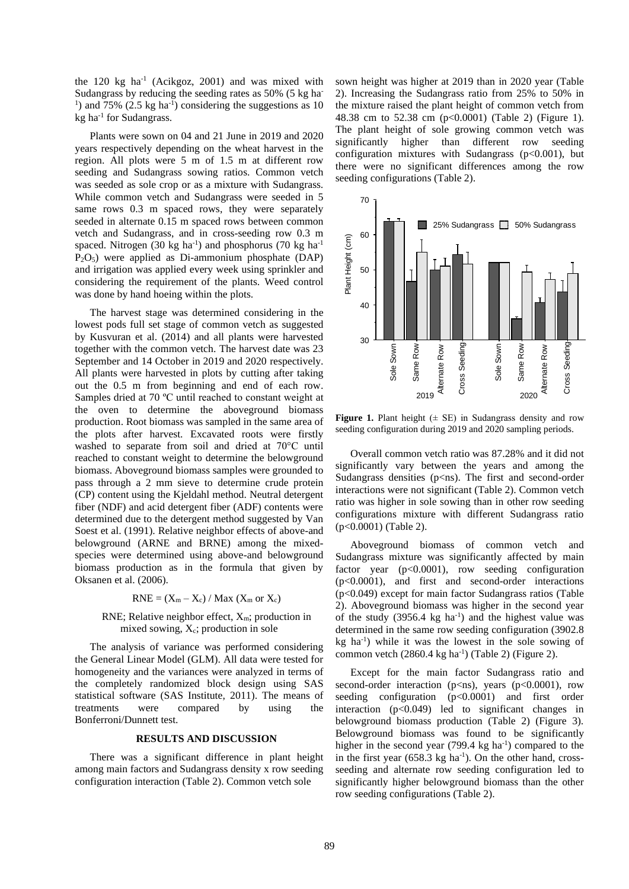the 120 kg ha<sup>-1</sup> (Acikgoz, 2001) and was mixed with Sudangrass by reducing the seeding rates as 50% (5 kg ha-<sup>1</sup>) and 75% (2.5 kg ha<sup>-1</sup>) considering the suggestions as 10 kg ha<sup>-1</sup> for Sudangrass.

Plants were sown on 04 and 21 June in 2019 and 2020 years respectively depending on the wheat harvest in the region. All plots were 5 m of 1.5 m at different row seeding and Sudangrass sowing ratios. Common vetch was seeded as sole crop or as a mixture with Sudangrass. While common vetch and Sudangrass were seeded in 5 same rows 0.3 m spaced rows, they were separately seeded in alternate 0.15 m spaced rows between common vetch and Sudangrass, and in cross-seeding row 0.3 m spaced. Nitrogen (30 kg ha<sup>-1</sup>) and phosphorus (70 kg ha<sup>-1</sup>) P2O5) were applied as Di-ammonium phosphate (DAP) and irrigation was applied every week using sprinkler and considering the requirement of the plants. Weed control was done by hand hoeing within the plots.

The harvest stage was determined considering in the lowest pods full set stage of common vetch as suggested by Kusvuran et al. (2014) and all plants were harvested together with the common vetch. The harvest date was 23 September and 14 October in 2019 and 2020 respectively. All plants were harvested in plots by cutting after taking out the 0.5 m from beginning and end of each row. Samples dried at 70 ºC until reached to constant weight at the oven to determine the aboveground biomass production. Root biomass was sampled in the same area of the plots after harvest. Excavated roots were firstly washed to separate from soil and dried at 70°C until reached to constant weight to determine the belowground biomass. Aboveground biomass samples were grounded to pass through a 2 mm sieve to determine crude protein (CP) content using the Kjeldahl method. Neutral detergent fiber (NDF) and acid detergent fiber (ADF) contents were determined due to the detergent method suggested by Van Soest et al. (1991). Relative neighbor effects of above-and belowground (ARNE and BRNE) among the mixedspecies were determined using above-and belowground biomass production as in the formula that given by Oksanen et al. (2006).

$$
RNE = (X_m - X_c) / Max (X_m or X_c)
$$

## RNE; Relative neighbor effect,  $X_m$ ; production in mixed sowing,  $X_c$ ; production in sole

The analysis of variance was performed considering the General Linear Model (GLM). All data were tested for homogeneity and the variances were analyzed in terms of the completely randomized block design using SAS statistical software (SAS Institute, 2011). The means of treatments were compared by using the Bonferroni/Dunnett test.

## **RESULTS AND DISCUSSION**

There was a significant difference in plant height among main factors and Sudangrass density x row seeding configuration interaction (Table 2). Common vetch sole

sown height was higher at 2019 than in 2020 year (Table 2). Increasing the Sudangrass ratio from 25% to 50% in the mixture raised the plant height of common vetch from 48.38 cm to 52.38 cm (p<0.0001) (Table 2) (Figure 1). The plant height of sole growing common vetch was significantly higher than different row seeding configuration mixtures with Sudangrass ( $p<0.001$ ), but there were no significant differences among the row seeding configurations (Table 2).



**Figure 1.** Plant height  $(\pm \text{ SE})$  in Sudangrass density and row seeding configuration during 2019 and 2020 sampling periods.

Overall common vetch ratio was 87.28% and it did not significantly vary between the years and among the Sudangrass densities ( $p\leq ns$ ). The first and second-order interactions were not significant (Table 2). Common vetch ratio was higher in sole sowing than in other row seeding configurations mixture with different Sudangrass ratio (p<0.0001) (Table 2).

Aboveground biomass of common vetch and Sudangrass mixture was significantly affected by main factor year (p<0.0001), row seeding configuration (p<0.0001), and first and second-order interactions (p<0.049) except for main factor Sudangrass ratios (Table 2). Aboveground biomass was higher in the second year of the study  $(3956.4 \text{ kg} \text{ ha}^{-1})$  and the highest value was determined in the same row seeding configuration (3902.8 kg ha -1 ) while it was the lowest in the sole sowing of common vetch  $(2860.4 \text{ kg} \text{ ha}^{-1})$  (Table 2) (Figure 2).

Except for the main factor Sudangrass ratio and second-order interaction ( $p\leq ns$ ), years ( $p<0.0001$ ), row seeding configuration (p<0.0001) and first order interaction (p<0.049) led to significant changes in belowground biomass production (Table 2) (Figure 3). Belowground biomass was found to be significantly higher in the second year  $(799.4 \text{ kg} \text{ ha}^{-1})$  compared to the in the first year  $(658.3 \text{ kg ha}^{-1})$ . On the other hand, crossseeding and alternate row seeding configuration led to significantly higher belowground biomass than the other row seeding configurations (Table 2).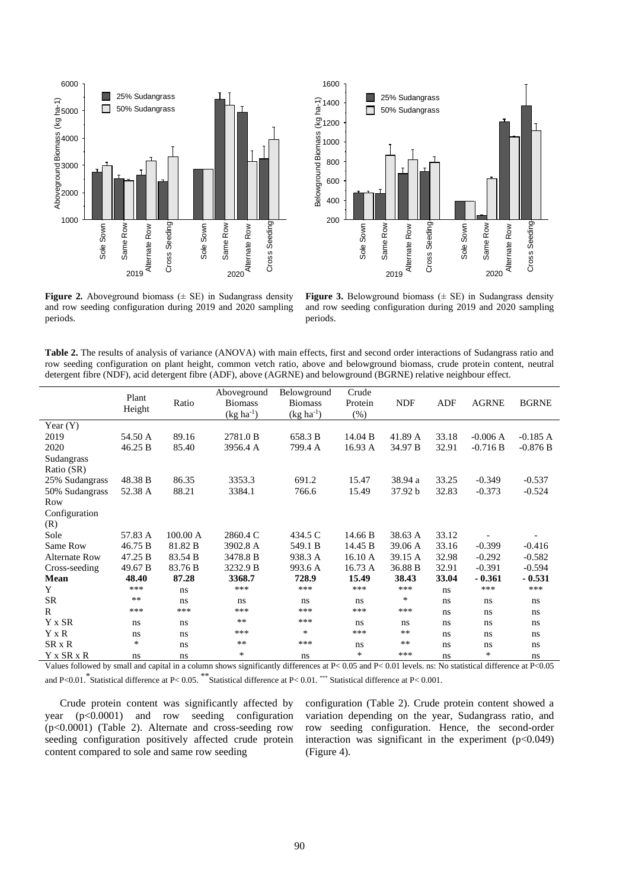



**Figure 2.** Aboveground biomass  $(\pm \text{ SE})$  in Sudangrass density and row seeding configuration during 2019 and 2020 sampling periods.

**Figure 3.** Belowground biomass  $(\pm \text{ SE})$  in Sudangrass density and row seeding configuration during 2019 and 2020 sampling periods.

| <b>Table 2.</b> The results of analysis of variance (ANOVA) with main effects, first and second order interactions of Sudangrass ratio and |
|--------------------------------------------------------------------------------------------------------------------------------------------|
| row seeding configuration on plant height, common vetch ratio, above and belowground biomass, crude protein content, neutral               |
| detergent fibre (NDF), acid detergent fibre (ADF), above (AGRNE) and belowground (BGRNE) relative neighbour effect.                        |

|                      | Plant<br>Height | Ratio    | Aboveground<br><b>Biomass</b><br>$(kg ha^{-1})$ | Belowground<br><b>Biomass</b><br>$(kg ha^{-1})$ | Crude<br>Protein<br>(%) | <b>NDF</b> | ADF   | <b>AGRNE</b> | <b>BGRNE</b> |
|----------------------|-----------------|----------|-------------------------------------------------|-------------------------------------------------|-------------------------|------------|-------|--------------|--------------|
| Year $(Y)$           |                 |          |                                                 |                                                 |                         |            |       |              |              |
| 2019                 | 54.50 A         | 89.16    | 2781.0 B                                        | 658.3 B                                         | 14.04 B                 | 41.89 A    | 33.18 | $-0.006A$    | $-0.185A$    |
| 2020                 | 46.25 B         | 85.40    | 3956.4 A                                        | 799.4 A                                         | 16.93 A                 | 34.97 B    | 32.91 | $-0.716 B$   | $-0.876 B$   |
| Sudangrass           |                 |          |                                                 |                                                 |                         |            |       |              |              |
| Ratio (SR)           |                 |          |                                                 |                                                 |                         |            |       |              |              |
| 25% Sudangrass       | 48.38 B         | 86.35    | 3353.3                                          | 691.2                                           | 15.47                   | 38.94 a    | 33.25 | $-0.349$     | $-0.537$     |
| 50% Sudangrass       | 52.38 A         | 88.21    | 3384.1                                          | 766.6                                           | 15.49                   | 37.92 b    | 32.83 | $-0.373$     | $-0.524$     |
| Row                  |                 |          |                                                 |                                                 |                         |            |       |              |              |
| Configuration        |                 |          |                                                 |                                                 |                         |            |       |              |              |
| (R)                  |                 |          |                                                 |                                                 |                         |            |       |              |              |
| Sole                 | 57.83 A         | 100.00 A | 2860.4 C                                        | 434.5 C                                         | 14.66 B                 | 38.63 A    | 33.12 |              |              |
| Same Row             | 46.75 B         | 81.82 B  | 3902.8 A                                        | 549.1 B                                         | 14.45 B                 | 39.06 A    | 33.16 | $-0.399$     | $-0.416$     |
| <b>Alternate Row</b> | 47.25 B         | 83.54 B  | 3478.8 B                                        | 938.3 A                                         | 16.10 A                 | 39.15 A    | 32.98 | $-0.292$     | $-0.582$     |
| Cross-seeding        | 49.67 B         | 83.76 B  | 3232.9 B                                        | 993.6 A                                         | 16.73 A                 | 36.88 B    | 32.91 | $-0.391$     | $-0.594$     |
| Mean                 | 48.40           | 87.28    | 3368.7                                          | 728.9                                           | 15.49                   | 38.43      | 33.04 | $-0.361$     | $-0.531$     |
| Y                    | ***             | ns       | ***                                             | ***                                             | ***                     | ***        | ns    | ***          | ***          |
| <b>SR</b>            | $**$            | ns       | ns                                              | ns                                              | ns                      | $\ast$     | ns    | ns           | ns           |
| R                    | ***             | ***      | ***                                             | ***                                             | ***                     | ***        | ns    | ns           | ns           |
| Y x SR               | ns              | ns       | $***$                                           | ***                                             | ns                      | ns         | ns    | ns           | ns           |
| Y x R                | ns              | ns       | ***                                             | $\ast$                                          | ***                     | $***$      | ns    | ns.          | ns           |
| SR x R               | *               | ns       | $***$                                           | ***                                             | ns                      | $***$      | ns    | ns           | ns           |
| Y x SR x R           | ns              | ns       | $\ast$                                          | ns                                              | $\ast$                  | ***        | ns    | $\ast$       | ns           |

Values followed by small and capital in a column shows significantly differences at P< 0.05 and P< 0.01 levels. ns: No statistical difference at P<0.05 and P<0.01. <sup>\*</sup>Statistical difference at P< 0.05. \*\*Statistical difference at P< 0.01. \*\*\* Statistical difference at P< 0.001.

Crude protein content was significantly affected by year (p<0.0001) and row seeding configuration (p<0.0001) (Table 2). Alternate and cross-seeding row seeding configuration positively affected crude protein content compared to sole and same row seeding

configuration (Table 2). Crude protein content showed a variation depending on the year, Sudangrass ratio, and row seeding configuration. Hence, the second-order interaction was significant in the experiment  $(p<0.049)$ (Figure 4).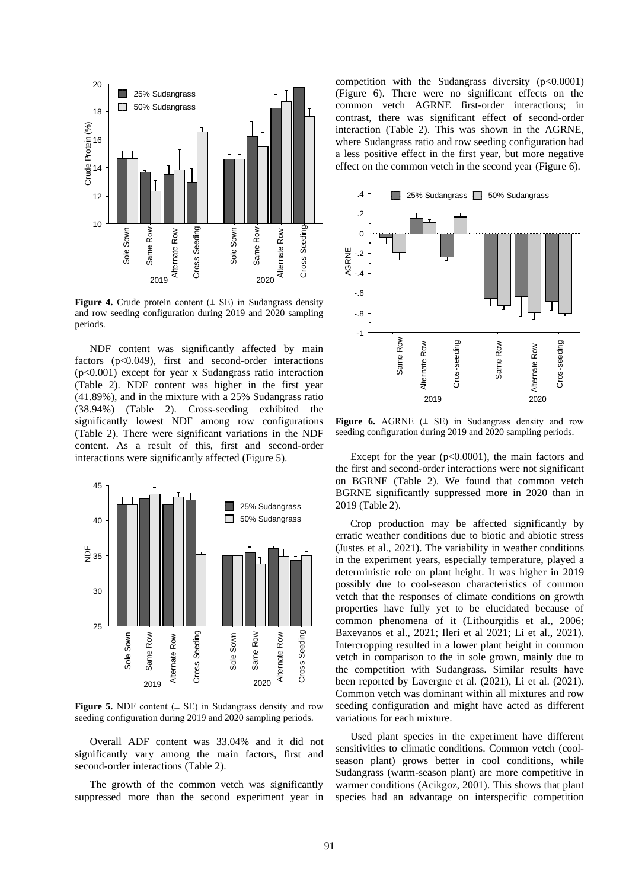

**Figure 4.** Crude protein content  $(\pm \text{ SE})$  in Sudangrass density and row seeding configuration during 2019 and 2020 sampling periods.

NDF content was significantly affected by main factors (p<0.049), first and second-order interactions (p<0.001) except for year x Sudangrass ratio interaction (Table 2). NDF content was higher in the first year (41.89%), and in the mixture with a 25% Sudangrass ratio (38.94%) (Table 2). Cross-seeding exhibited the significantly lowest NDF among row configurations (Table 2). There were significant variations in the NDF content. As a result of this, first and second-order interactions were significantly affected (Figure 5).



**Figure 5.** NDF content  $(\pm \text{ SE})$  in Sudangrass density and row seeding configuration during 2019 and 2020 sampling periods.

Overall ADF content was 33.04% and it did not significantly vary among the main factors, first and second-order interactions (Table 2).

The growth of the common vetch was significantly suppressed more than the second experiment year in competition with the Sudangrass diversity  $(p<0.0001)$ (Figure 6). There were no significant effects on the common vetch AGRNE first-order interactions; in contrast, there was significant effect of second-order interaction (Table 2). This was shown in the AGRNE, where Sudangrass ratio and row seeding configuration had a less positive effect in the first year, but more negative effect on the common vetch in the second year (Figure 6).



**Figure 6.** AGRNE  $(\pm$  SE) in Sudangrass density and row seeding configuration during 2019 and 2020 sampling periods.

Except for the year  $(p<0.0001)$ , the main factors and the first and second-order interactions were not significant on BGRNE (Table 2). We found that common vetch BGRNE significantly suppressed more in 2020 than in 2019 (Table 2).

Crop production may be affected significantly by erratic weather conditions due to biotic and abiotic stress (Justes et al., 2021). The variability in weather conditions in the experiment years, especially temperature, played a deterministic role on plant height. It was higher in 2019 possibly due to cool-season characteristics of common vetch that the responses of climate conditions on growth properties have fully yet to be elucidated because of common phenomena of it (Lithourgidis et al., 2006; Baxevanos et al., 2021; Ileri et al 2021; Li et al., 2021). Intercropping resulted in a lower plant height in common vetch in comparison to the in sole grown, mainly due to the competition with Sudangrass. Similar results have been reported by Lavergne et al. (2021), Li et al. (2021). Common vetch was dominant within all mixtures and row seeding configuration and might have acted as different variations for each mixture.

Used plant species in the experiment have different sensitivities to climatic conditions. Common vetch (coolseason plant) grows better in cool conditions, while Sudangrass (warm-season plant) are more competitive in warmer conditions (Acikgoz, 2001). This shows that plant species had an advantage on interspecific competition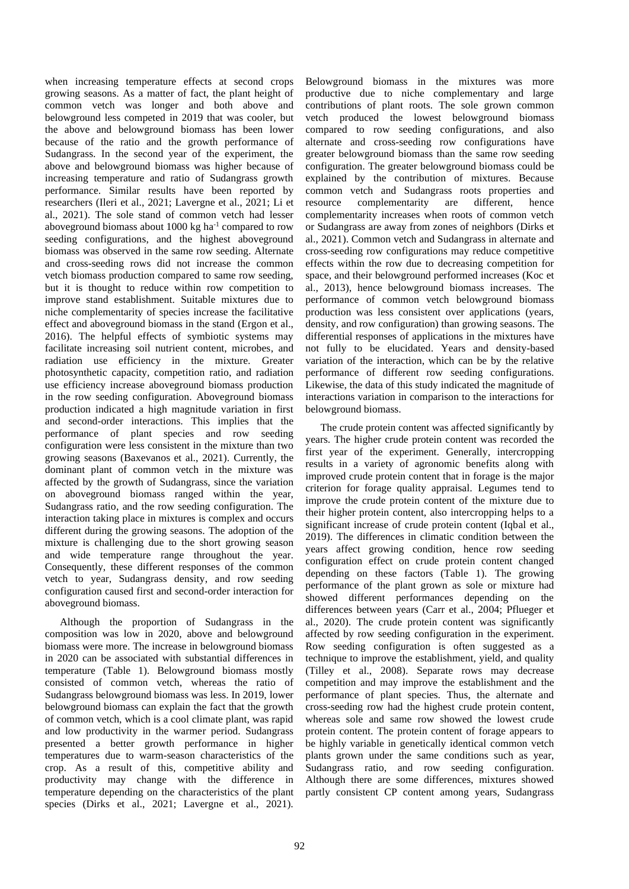when increasing temperature effects at second crops growing seasons. As a matter of fact, the plant height of common vetch was longer and both above and belowground less competed in 2019 that was cooler, but the above and belowground biomass has been lower because of the ratio and the growth performance of Sudangrass. In the second year of the experiment, the above and belowground biomass was higher because of increasing temperature and ratio of Sudangrass growth performance. Similar results have been reported by researchers (Ileri et al., 2021; Lavergne et al., 2021; Li et al., 2021). The sole stand of common vetch had lesser aboveground biomass about 1000 kg ha<sup>-1</sup> compared to row seeding configurations, and the highest aboveground biomass was observed in the same row seeding. Alternate and cross-seeding rows did not increase the common vetch biomass production compared to same row seeding, but it is thought to reduce within row competition to improve stand establishment. Suitable mixtures due to niche complementarity of species increase the facilitative effect and aboveground biomass in the stand (Ergon et al., 2016). The helpful effects of symbiotic systems may facilitate increasing soil nutrient content, microbes, and radiation use efficiency in the mixture. Greater photosynthetic capacity, competition ratio, and radiation use efficiency increase aboveground biomass production in the row seeding configuration. Aboveground biomass production indicated a high magnitude variation in first and second-order interactions. This implies that the performance of plant species and row seeding configuration were less consistent in the mixture than two growing seasons (Baxevanos et al., 2021). Currently, the dominant plant of common vetch in the mixture was affected by the growth of Sudangrass, since the variation on aboveground biomass ranged within the year, Sudangrass ratio, and the row seeding configuration. The interaction taking place in mixtures is complex and occurs different during the growing seasons. The adoption of the mixture is challenging due to the short growing season and wide temperature range throughout the year. Consequently, these different responses of the common vetch to year, Sudangrass density, and row seeding configuration caused first and second-order interaction for aboveground biomass.

Although the proportion of Sudangrass in the composition was low in 2020, above and belowground biomass were more. The increase in belowground biomass in 2020 can be associated with substantial differences in temperature (Table 1). Belowground biomass mostly consisted of common vetch, whereas the ratio of Sudangrass belowground biomass was less. In 2019, lower belowground biomass can explain the fact that the growth of common vetch, which is a cool climate plant, was rapid and low productivity in the warmer period. Sudangrass presented a better growth performance in higher temperatures due to warm-season characteristics of the crop. As a result of this, competitive ability and productivity may change with the difference in temperature depending on the characteristics of the plant species (Dirks et al., 2021; Lavergne et al., 2021).

Belowground biomass in the mixtures was more productive due to niche complementary and large contributions of plant roots. The sole grown common vetch produced the lowest belowground biomass compared to row seeding configurations, and also alternate and cross-seeding row configurations have greater belowground biomass than the same row seeding configuration. The greater belowground biomass could be explained by the contribution of mixtures. Because common vetch and Sudangrass roots properties and resource complementarity are different, hence complementarity increases when roots of common vetch or Sudangrass are away from zones of neighbors (Dirks et al., 2021). Common vetch and Sudangrass in alternate and cross-seeding row configurations may reduce competitive effects within the row due to decreasing competition for space, and their belowground performed increases (Koc et al., 2013), hence belowground biomass increases. The performance of common vetch belowground biomass production was less consistent over applications (years, density, and row configuration) than growing seasons. The differential responses of applications in the mixtures have not fully to be elucidated. Years and density-based variation of the interaction, which can be by the relative performance of different row seeding configurations. Likewise, the data of this study indicated the magnitude of interactions variation in comparison to the interactions for belowground biomass.

The crude protein content was affected significantly by years. The higher crude protein content was recorded the first year of the experiment. Generally, intercropping results in a variety of agronomic benefits along with improved crude protein content that in forage is the major criterion for forage quality appraisal. Legumes tend to improve the crude protein content of the mixture due to their higher protein content, also intercropping helps to a significant increase of crude protein content (Iqbal et al., 2019). The differences in climatic condition between the years affect growing condition, hence row seeding configuration effect on crude protein content changed depending on these factors (Table 1). The growing performance of the plant grown as sole or mixture had showed different performances depending on the differences between years (Carr et al., 2004; Pflueger et al., 2020). The crude protein content was significantly affected by row seeding configuration in the experiment. Row seeding configuration is often suggested as a technique to improve the establishment, yield, and quality (Tilley et al., 2008). Separate rows may decrease competition and may improve the establishment and the performance of plant species. Thus, the alternate and cross-seeding row had the highest crude protein content, whereas sole and same row showed the lowest crude protein content. The protein content of forage appears to be highly variable in genetically identical common vetch plants grown under the same conditions such as year, Sudangrass ratio, and row seeding configuration. Although there are some differences, mixtures showed partly consistent CP content among years, Sudangrass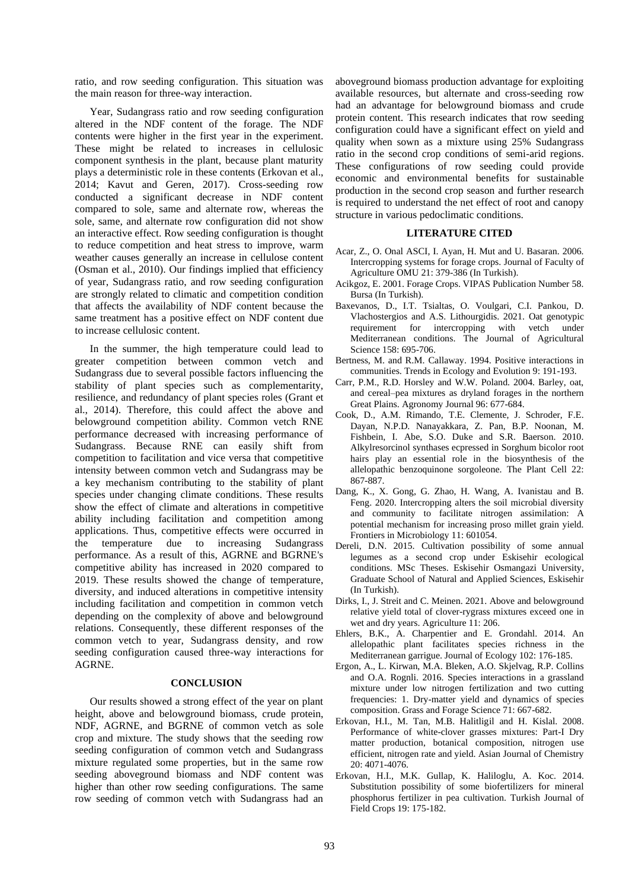ratio, and row seeding configuration. This situation was the main reason for three-way interaction.

Year, Sudangrass ratio and row seeding configuration altered in the NDF content of the forage. The NDF contents were higher in the first year in the experiment. These might be related to increases in cellulosic component synthesis in the plant, because plant maturity plays a deterministic role in these contents (Erkovan et al., 2014; Kavut and Geren, 2017). Cross-seeding row conducted a significant decrease in NDF content compared to sole, same and alternate row, whereas the sole, same, and alternate row configuration did not show an interactive effect. Row seeding configuration is thought to reduce competition and heat stress to improve, warm weather causes generally an increase in cellulose content (Osman et al., 2010). Our findings implied that efficiency of year, Sudangrass ratio, and row seeding configuration are strongly related to climatic and competition condition that affects the availability of NDF content because the same treatment has a positive effect on NDF content due to increase cellulosic content.

In the summer, the high temperature could lead to greater competition between common vetch and Sudangrass due to several possible factors influencing the stability of plant species such as complementarity, resilience, and redundancy of plant species roles (Grant et al., 2014). Therefore, this could affect the above and belowground competition ability. Common vetch RNE performance decreased with increasing performance of Sudangrass. Because RNE can easily shift from competition to facilitation and vice versa that competitive intensity between common vetch and Sudangrass may be a key mechanism contributing to the stability of plant species under changing climate conditions. These results show the effect of climate and alterations in competitive ability including facilitation and competition among applications. Thus, competitive effects were occurred in the temperature due to increasing Sudangrass performance. As a result of this, AGRNE and BGRNE's competitive ability has increased in 2020 compared to 2019. These results showed the change of temperature, diversity, and induced alterations in competitive intensity including facilitation and competition in common vetch depending on the complexity of above and belowground relations. Consequently, these different responses of the common vetch to year, Sudangrass density, and row seeding configuration caused three-way interactions for AGRNE.

### **CONCLUSION**

Our results showed a strong effect of the year on plant height, above and belowground biomass, crude protein, NDF, AGRNE, and BGRNE of common vetch as sole crop and mixture. The study shows that the seeding row seeding configuration of common vetch and Sudangrass mixture regulated some properties, but in the same row seeding aboveground biomass and NDF content was higher than other row seeding configurations. The same row seeding of common vetch with Sudangrass had an aboveground biomass production advantage for exploiting available resources, but alternate and cross-seeding row had an advantage for belowground biomass and crude protein content. This research indicates that row seeding configuration could have a significant effect on yield and quality when sown as a mixture using 25% Sudangrass ratio in the second crop conditions of semi-arid regions. These configurations of row seeding could provide economic and environmental benefits for sustainable production in the second crop season and further research is required to understand the net effect of root and canopy structure in various pedoclimatic conditions.

### **LITERATURE CITED**

- Acar, Z., O. Onal ASCI, I. Ayan, H. Mut and U. Basaran. 2006. Intercropping systems for forage crops. Journal of Faculty of Agriculture OMU 21: 379-386 (In Turkish).
- Acikgoz, E. 2001. Forage Crops. VIPAS Publication Number 58. Bursa (In Turkish).
- Baxevanos, D., I.T. Tsialtas, O. Voulgari, C.I. Pankou, D. Vlachostergios and A.S. Lithourgidis. 2021. Oat genotypic requirement for intercropping with vetch under Mediterranean conditions. The Journal of Agricultural Science 158: 695-706.
- Bertness, M. and R.M. Callaway. 1994. Positive interactions in communities. Trends in Ecology and Evolution 9: 191-193.
- Carr, P.M., R.D. Horsley and W.W. Poland. 2004. Barley, oat, and cereal–pea mixtures as dryland forages in the northern Great Plains. Agronomy Journal 96: 677-684.
- Cook, D., A.M. Rimando, T.E. Clemente, J. Schroder, F.E. Dayan, N.P.D. Nanayakkara, Z. Pan, B.P. Noonan, M. Fishbein, I. Abe, S.O. Duke and S.R. Baerson. 2010. Alkylresorcinol synthases ecpressed in Sorghum bicolor root hairs play an essential role in the biosynthesis of the allelopathic benzoquinone sorgoleone. The Plant Cell 22: 867-887.
- Dang, K., X. Gong, G. Zhao, H. Wang, A. Ivanistau and B. Feng. 2020. Intercropping alters the soil microbial diversity and community to facilitate nitrogen assimilation: A potential mechanism for increasing proso millet grain yield. Frontiers in Microbiology 11: 601054.
- Dereli, D.N. 2015. Cultivation possibility of some annual legumes as a second crop under Eskisehir ecological conditions. MSc Theses. Eskisehir Osmangazi University, Graduate School of Natural and Applied Sciences, Eskisehir (In Turkish).
- Dirks, I., J. Streit and C. Meinen. 2021. Above and belowground relative yield total of clover-rygrass mixtures exceed one in wet and dry years. Agriculture 11: 206.
- Ehlers, B.K., A. Charpentier and E. Grondahl. 2014. An allelopathic plant facilitates species richness in the Mediterranean garrigue. Journal of Ecology 102: 176-185.
- Ergon, A., L. Kirwan, M.A. Bleken, A.O. Skjelvag, R.P. Collins and O.A. Rognli. 2016. Species interactions in a grassland mixture under low nitrogen fertilization and two cutting frequencies: 1. Dry-matter yield and dynamics of species composition. Grass and Forage Science 71: 667-682.
- Erkovan, H.I., M. Tan, M.B. Halitligil and H. Kislal. 2008. Performance of white-clover grasses mixtures: Part-I Dry matter production, botanical composition, nitrogen use efficient, nitrogen rate and yield. Asian Journal of Chemistry 20: 4071-4076.
- Erkovan, H.I., M.K. Gullap, K. Haliloglu, A. Koc. 2014. Substitution possibility of some biofertilizers for mineral phosphorus fertilizer in pea cultivation. Turkish Journal of Field Crops 19: 175-182.